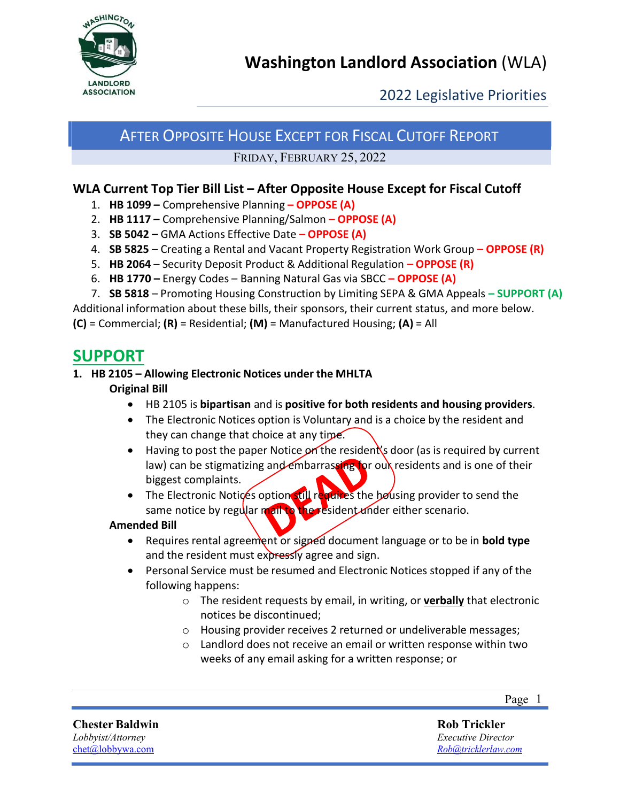

2022 Legislative Priorities

# AFTER OPPOSITE HOUSE EXCEPT FOR FISCAL CUTOFF REPORT

FRIDAY, FEBRUARY 25, 2022

### **WLA Current Top Tier Bill List – After Opposite House Except for Fiscal Cutoff**

- 1. **HB 1099 –** Comprehensive Planning **– OPPOSE (A)**
- 2. **HB 1117 –** Comprehensive Planning/Salmon **– OPPOSE (A)**
- 3. **SB 5042 –** GMA Actions Effective Date **– OPPOSE (A)**
- 4. **SB 5825** Creating a Rental and Vacant Property Registration Work Group **– OPPOSE (R)**
- 5. **HB 2064** Security Deposit Product & Additional Regulation **– OPPOSE (R)**
- 6. **HB 1770 –** Energy Codes Banning Natural Gas via SBCC **– OPPOSE (A)**
- 7. **SB 5818** Promoting Housing Construction by Limiting SEPA & GMA Appeals **– SUPPORT (A)**

Additional information about these bills, their sponsors, their current status, and more below.

**(C)** = Commercial; **(R)** = Residential; **(M)** = Manufactured Housing; **(A)** = All

## **SUPPORT**

#### **1. HB 2105 – Allowing Electronic Notices under the MHLTA Original Bill**

- HB 2105 is **bipartisan** and is **positive for both residents and housing providers**.
- The Electronic Notices option is Voluntary and is a choice by the resident and they can change that choice at any time.
- Having to post the paper Notice on the resident's door (as is required by current law) can be stigmatizing and embarrassing for our residents and is one of their biggest complaints.
- The Electronic Notices option still requires the bousing provider to send the same notice by regular mail to the resident under either scenario.

#### **Amended Bill**

- Requires rental agreement or signed document language or to be in **bold type** and the resident must expressly agree and sign.
- Personal Service must be resumed and Electronic Notices stopped if any of the following happens:
	- o The resident requests by email, in writing, or **verbally** that electronic notices be discontinued;
	- o Housing provider receives 2 returned or undeliverable messages;
	- o Landlord does not receive an email or written response within two weeks of any email asking for a written response; or

**Chester Baldwin** *Lobbyist/Attorney* [chet@lobbywa.com](mailto:chet@lobbywa.com)

**Rob Trickler**

*Executive Director [Rob@tricklerlaw.com](mailto:Rob@tricklerlaw.com)*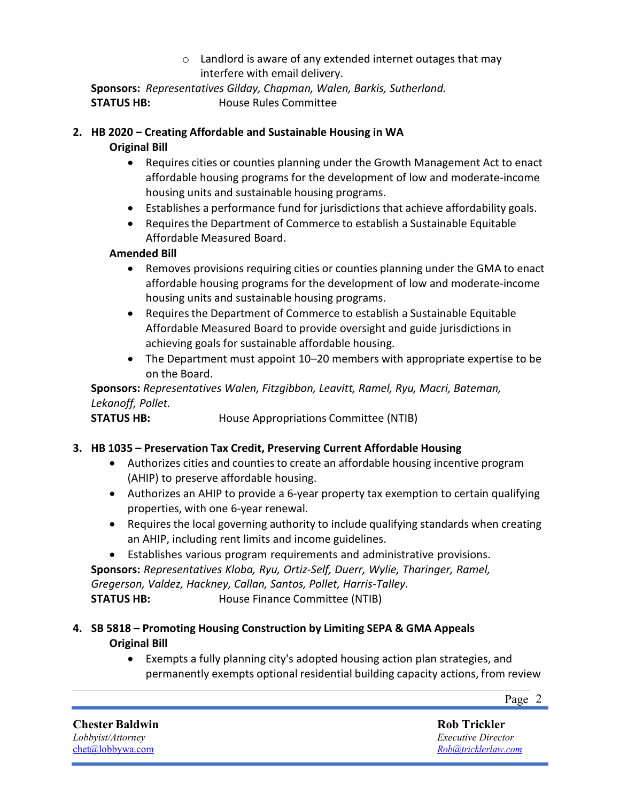o Landlord is aware of any extended internet outages that may interfere with email delivery.

**Sponsors:** *Representatives Gilday, Chapman, Walen, Barkis, Sutherland.* **STATUS HB:** House Rules Committee

#### **2. HB 2020 – Creating Affordable and Sustainable Housing in WA**

#### **Original Bill**

- Requires cities or counties planning under the Growth Management Act to enact affordable housing programs for the development of low and moderate-income housing units and sustainable housing programs.
- Establishes a performance fund for jurisdictions that achieve affordability goals.
- Requires the Department of Commerce to establish a Sustainable Equitable Affordable Measured Board.

#### **Amended Bill**

- Removes provisions requiring cities or counties planning under the GMA to enact affordable housing programs for the development of low and moderate-income housing units and sustainable housing programs.
- Requires the Department of Commerce to establish a Sustainable Equitable Affordable Measured Board to provide oversight and guide jurisdictions in achieving goals for sustainable affordable housing.
- The Department must appoint 10–20 members with appropriate expertise to be on the Board.

**Sponsors:** *Representatives Walen, Fitzgibbon, Leavitt, Ramel, Ryu, Macri, Bateman, Lekanoff, Pollet.*

**STATUS HB:** House Appropriations Committee (NTIB)

#### **3. HB 1035 – Preservation Tax Credit, Preserving Current Affordable Housing**

- Authorizes cities and counties to create an affordable housing incentive program (AHIP) to preserve affordable housing.
- Authorizes an AHIP to provide a 6-year property tax exemption to certain qualifying properties, with one 6-year renewal.
- Requires the local governing authority to include qualifying standards when creating an AHIP, including rent limits and income guidelines.
- Establishes various program requirements and administrative provisions. **Sponsors:** *Representatives Kloba, Ryu, Ortiz-Self, Duerr, Wylie, Tharinger, Ramel, Gregerson, Valdez, Hackney, Callan, Santos, Pollet, Harris-Talley.* **STATUS HB:** House Finance Committee (NTIB)

#### **4. SB 5818 – Promoting Housing Construction by Limiting SEPA & GMA Appeals Original Bill**

• Exempts a fully planning city's adopted housing action plan strategies, and permanently exempts optional residential building capacity actions, from review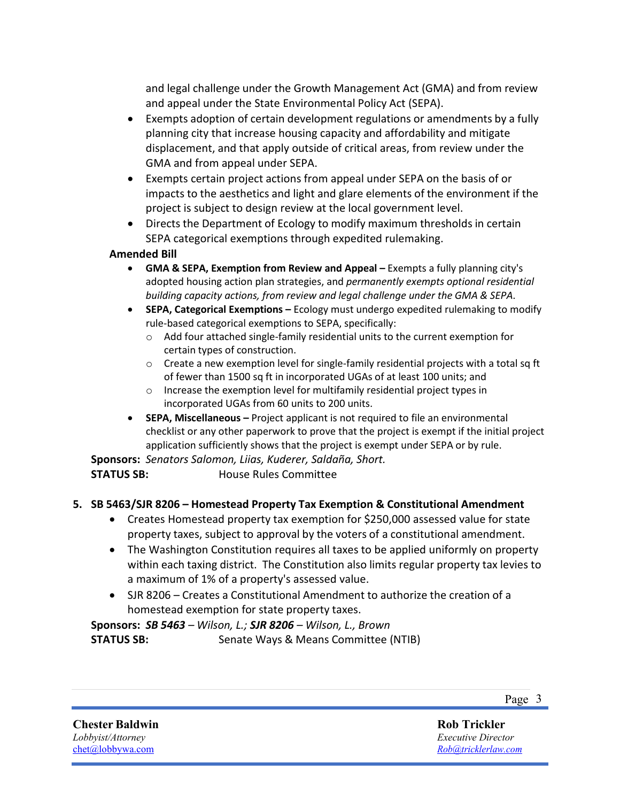and legal challenge under the Growth Management Act (GMA) and from review and appeal under the State Environmental Policy Act (SEPA).

- Exempts adoption of certain development regulations or amendments by a fully planning city that increase housing capacity and affordability and mitigate displacement, and that apply outside of critical areas, from review under the GMA and from appeal under SEPA.
- Exempts certain project actions from appeal under SEPA on the basis of or impacts to the aesthetics and light and glare elements of the environment if the project is subject to design review at the local government level.
- Directs the Department of Ecology to modify maximum thresholds in certain SEPA categorical exemptions through expedited rulemaking.

#### **Amended Bill**

- **GMA & SEPA, Exemption from Review and Appeal –** Exempts a fully planning city's adopted housing action plan strategies, and *permanently exempts optional residential building capacity actions, from review and legal challenge under the GMA & SEPA*.
- **SEPA, Categorical Exemptions –** Ecology must undergo expedited rulemaking to modify rule-based categorical exemptions to SEPA, specifically:
	- $\circ$  Add four attached single-family residential units to the current exemption for certain types of construction.
	- $\circ$  Create a new exemption level for single-family residential projects with a total sq ft of fewer than 1500 sq ft in incorporated UGAs of at least 100 units; and
	- o Increase the exemption level for multifamily residential project types in incorporated UGAs from 60 units to 200 units.
- **SEPA, Miscellaneous –** Project applicant is not required to file an environmental checklist or any other paperwork to prove that the project is exempt if the initial project application sufficiently shows that the project is exempt under SEPA or by rule.

**Sponsors:** *Senators Salomon, Liias, Kuderer, Saldaña, Short.*

**STATUS SB:** House Rules Committee

#### **5. SB 5463/SJR 8206 – Homestead Property Tax Exemption & Constitutional Amendment**

- Creates Homestead property tax exemption for \$250,000 assessed value for state property taxes, subject to approval by the voters of a constitutional amendment.
- The Washington Constitution requires all taxes to be applied uniformly on property within each taxing district. The Constitution also limits regular property tax levies to a maximum of 1% of a property's assessed value.
- SJR 8206 Creates a Constitutional Amendment to authorize the creation of a homestead exemption for state property taxes.

**Sponsors:** *SB 5463 – Wilson, L.; SJR 8206 – Wilson, L., Brown* **STATUS SB:** Senate Ways & Means Committee (NTIB)

**Chester Baldwin** *Lobbyist/Attorney* [chet@lobbywa.com](mailto:chet@lobbywa.com)

**Rob Trickler** *Executive Director [Rob@tricklerlaw.com](mailto:Rob@tricklerlaw.com)*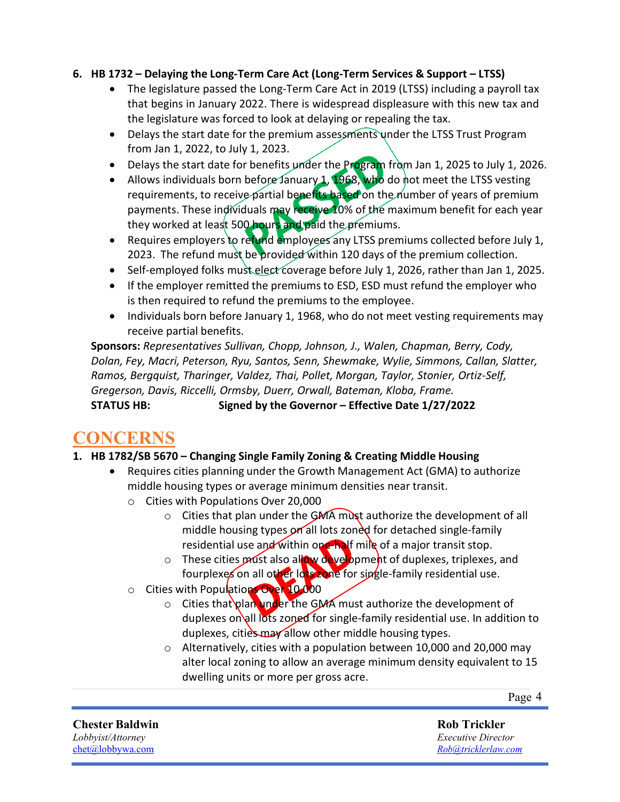#### **6. HB 1732 – Delaying the Long-Term Care Act (Long-Term Services & Support – LTSS)**

- The legislature passed the Long-Term Care Act in 2019 (LTSS) including a payroll tax that begins in January 2022. There is widespread displeasure with this new tax and the legislature was forced to look at delaying or repealing the tax.
- Delays the start date for the premium assessments under the LTSS Trust Program from Jan 1, 2022, to July 1, 2023.
- Delays the start date for benefits under the Program from Jan 1, 2025 to July 1, 2026.
- Allows individuals born before January 1, 1968, who do not meet the LTSS vesting requirements, to receive partial benefits based on the number of years of premium payments. These individuals may receive 10% of the maximum benefit for each year they worked at least 500 hours and paid the premiums.
- Requires employers to refund employees any LTSS premiums collected before July 1, 2023. The refund must be provided within 120 days of the premium collection.
- Self-employed folks must elect coverage before July 1, 2026, rather than Jan 1, 2025.
- If the employer remitted the premiums to ESD, ESD must refund the employer who is then required to refund the premiums to the employee.
- Individuals born before January 1, 1968, who do not meet vesting requirements may receive partial benefits.

**Sponsors:** *Representatives Sullivan, Chopp, Johnson, J., Walen, Chapman, Berry, Cody, Dolan, Fey, Macri, Peterson, Ryu, Santos, Senn, Shewmake, Wylie, Simmons, Callan, Slatter, Ramos, Bergquist, Tharinger, Valdez, Thai, Pollet, Morgan, Taylor, Stonier, Ortiz-Self, Gregerson, Davis, Riccelli, Ormsby, Duerr, Orwall, Bateman, Kloba, Frame.* **STATUS HB: Signed by the Governor – Effective Date 1/27/2022**

# **CONCERNS**

#### **1. HB 1782/SB 5670 – Changing Single Family Zoning & Creating Middle Housing**

- Requires cities planning under the Growth Management Act (GMA) to authorize middle housing types or average minimum densities near transit.
	- o Cities with Populations Over 20,000
		- $\circ$  Cities that plan under the GMA must authorize the development of all middle housing types on all lots zoned for detached single-family residential use and within one-half mile of a major transit stop.
		- $\circ$  These cities *pr*ust also allow development of duplexes, triplexes, and fourplexes on all other lots zone for single-family residential use.
	- o Cities with Populations Over 10,000
		- $\circ$  Cities that plan under the GMA must authorize the development of duplexes on all lots zoned for single-family residential use. In addition to duplexes, cities may allow other middle housing types.
		- o Alternatively, cities with a population between 10,000 and 20,000 may alter local zoning to allow an average minimum density equivalent to 15 dwelling units or more per gross acre.

Page 4

**Chester Baldwin** *Lobbyist/Attorney* [chet@lobbywa.com](mailto:chet@lobbywa.com)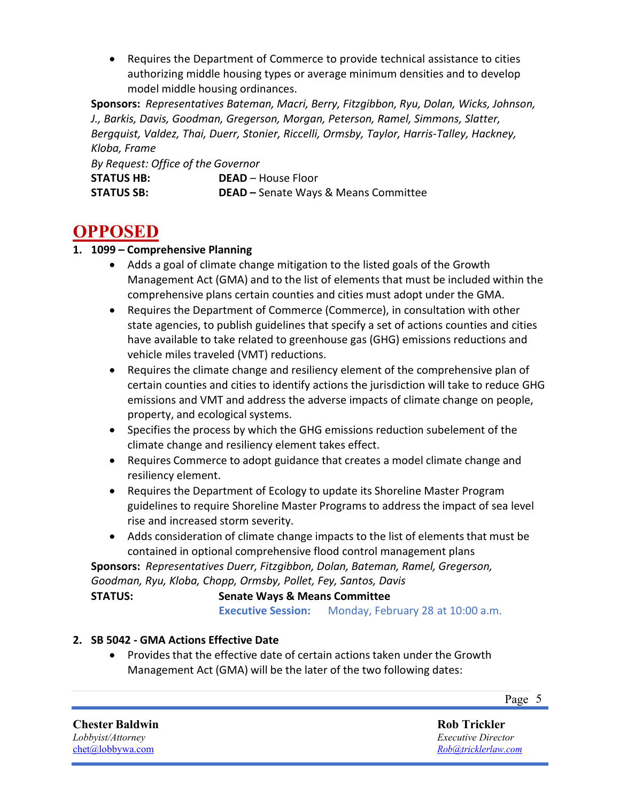• Requires the Department of Commerce to provide technical assistance to cities authorizing middle housing types or average minimum densities and to develop model middle housing ordinances.

**Sponsors:** *Representatives Bateman, Macri, Berry, Fitzgibbon, Ryu, Dolan, Wicks, Johnson, J., Barkis, Davis, Goodman, Gregerson, Morgan, Peterson, Ramel, Simmons, Slatter, Bergquist, Valdez, Thai, Duerr, Stonier, Riccelli, Ormsby, Taylor, Harris-Talley, Hackney, Kloba, Frame*

*By Request: Office of the Governor*

| <b>STATUS HB:</b> | <b>DEAD</b> – House Floor                   |
|-------------------|---------------------------------------------|
| <b>STATUS SB:</b> | <b>DEAD</b> – Senate Ways & Means Committee |

# **OPPOSED**

#### **1. 1099 – Comprehensive Planning**

- Adds a goal of climate change mitigation to the listed goals of the Growth Management Act (GMA) and to the list of elements that must be included within the comprehensive plans certain counties and cities must adopt under the GMA.
- Requires the Department of Commerce (Commerce), in consultation with other state agencies, to publish guidelines that specify a set of actions counties and cities have available to take related to greenhouse gas (GHG) emissions reductions and vehicle miles traveled (VMT) reductions.
- Requires the climate change and resiliency element of the comprehensive plan of certain counties and cities to identify actions the jurisdiction will take to reduce GHG emissions and VMT and address the adverse impacts of climate change on people, property, and ecological systems.
- Specifies the process by which the GHG emissions reduction subelement of the climate change and resiliency element takes effect.
- Requires Commerce to adopt guidance that creates a model climate change and resiliency element.
- Requires the Department of Ecology to update its Shoreline Master Program guidelines to require Shoreline Master Programs to address the impact of sea level rise and increased storm severity.
- Adds consideration of climate change impacts to the list of elements that must be contained in optional comprehensive flood control management plans

**Sponsors:** *Representatives Duerr, Fitzgibbon, Dolan, Bateman, Ramel, Gregerson, Goodman, Ryu, Kloba, Chopp, Ormsby, Pollet, Fey, Santos, Davis*

**STATUS: Senate Ways & Means Committee Executive Session:** Monday, February 28 at 10:00 a.m.

#### **2. SB 5042 - GMA Actions Effective Date**

• Provides that the effective date of certain actions taken under the Growth Management Act (GMA) will be the later of the two following dates:

Page 5

#### **Chester Baldwin** *Lobbyist/Attorney*

[chet@lobbywa.com](mailto:chet@lobbywa.com)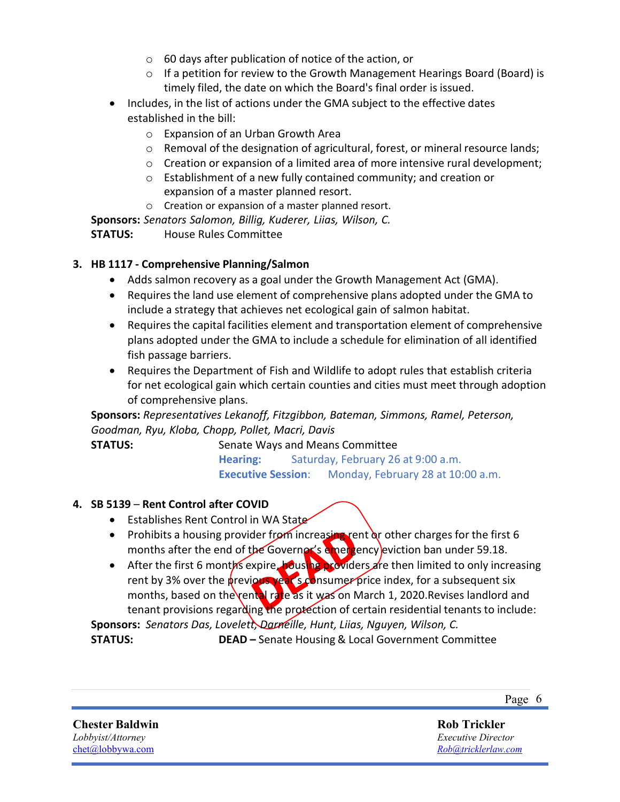- $\circ$  60 days after publication of notice of the action, or
- $\circ$  If a petition for review to the Growth Management Hearings Board (Board) is timely filed, the date on which the Board's final order is issued.
- Includes, in the list of actions under the GMA subject to the effective dates established in the bill:
	- o Expansion of an Urban Growth Area
	- o Removal of the designation of agricultural, forest, or mineral resource lands;
	- $\circ$  Creation or expansion of a limited area of more intensive rural development:
	- o Establishment of a new fully contained community; and creation or expansion of a master planned resort.
	- o Creation or expansion of a master planned resort.

**Sponsors:** *Senators Salomon, Billig, Kuderer, Liias, Wilson, C.* **STATUS:** House Rules Committee

#### **3. HB 1117 - Comprehensive Planning/Salmon**

- Adds salmon recovery as a goal under the Growth Management Act (GMA).
- Requires the land use element of comprehensive plans adopted under the GMA to include a strategy that achieves net ecological gain of salmon habitat.
- Requires the capital facilities element and transportation element of comprehensive plans adopted under the GMA to include a schedule for elimination of all identified fish passage barriers.
- Requires the Department of Fish and Wildlife to adopt rules that establish criteria for net ecological gain which certain counties and cities must meet through adoption of comprehensive plans.

**Sponsors:** *Representatives Lekanoff, Fitzgibbon, Bateman, Simmons, Ramel, Peterson, Goodman, Ryu, Kloba, Chopp, Pollet, Macri, Davis*

**STATUS:** Senate Ways and Means Committee **Hearing:** Saturday, February 26 at 9:00 a.m. **Executive Session**: Monday, February 28 at 10:00 a.m.

#### **4. SB 5139** – **Rent Control after COVID**

- Establishes Rent Control in WA State
- Prohibits a housing provider from increasing rent or other charges for the first 6 months after the end of the Governor's emergency eviction ban under 59.18.
- After the first 6 months expire, housing providers are then limited to only increasing rent by 3% over the previous year's consumer price index, for a subsequent six months, based on the rental rate as it was on March 1, 2020. Revises landlord and tenant provisions regarding the protection of certain residential tenants to include:

**Sponsors:** *Senators Das, Lovelett, Darneille, Hunt, Liias, Nguyen, Wilson, C.* **STATUS: DEAD –** Senate Housing & Local Government Committee

**Chester Baldwin** *Lobbyist/Attorney* [chet@lobbywa.com](mailto:chet@lobbywa.com)

Page 6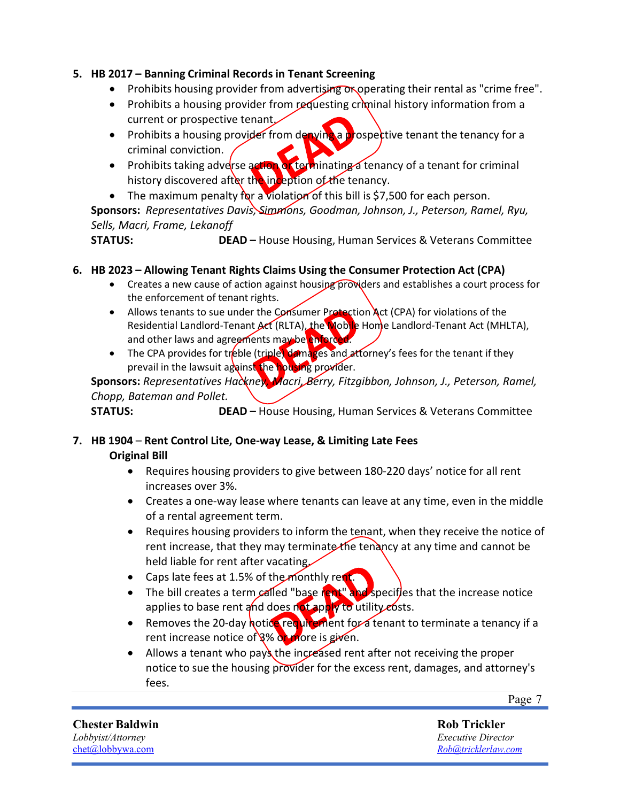#### **5. HB 2017 – Banning Criminal Records in Tenant Screening**

- Prohibits housing provider from advertising or operating their rental as "crime free".
- Prohibits a housing provider from requesting criminal history information from a current or prospective tenant.
- Prohibits a housing provider from denying a prospective tenant the tenancy for a criminal conviction.
- Prohibits taking adverse action of terminating a tenancy of a tenant for criminal history discovered after the inception of the tenancy.
- The maximum penalty for a violation of this bill is \$7,500 for each person.

**Sponsors:** *Representatives Davis, Simmons, Goodman, Johnson, J., Peterson, Ramel, Ryu, Sells, Macri, Frame, Lekanoff*

**STATUS: DEAD –** House Housing, Human Services & Veterans Committee

#### **6. HB 2023 – Allowing Tenant Rights Claims Using the Consumer Protection Act (CPA)**

- Creates a new cause of action against housing providers and establishes a court process for the enforcement of tenant rights.
- Allows tenants to sue under the Consumer Protection Act (CPA) for violations of the Residential Landlord-Tenant Act (RLTA), the Woble Home Landlord-Tenant Act (MHLTA), and other laws and agreements may be enforced.
- The CPA provides for treble (triple) damages and attorney's fees for the tenant if they prevail in the lawsuit against the housing provider.

#### **Sponsors:** *Representatives Hackney, Macri, Berry, Fitzgibbon, Johnson, J., Peterson, Ramel, Chopp, Bateman and Pollet.*

**STATUS: DEAD –** House Housing, Human Services & Veterans Committee

#### **7. HB 1904** – **Rent Control Lite, One-way Lease, & Limiting Late Fees Original Bill**

- Requires housing providers to give between 180-220 days' notice for all rent increases over 3%.
- Creates a one-way lease where tenants can leave at any time, even in the middle of a rental agreement term.
- Requires housing providers to inform the tenant, when they receive the notice of rent increase, that they may terminate the tenancy at any time and cannot be held liable for rent after vacating.
- Caps late fees at 1.5% of the monthly rent.
- The bill creates a term called "base rent" and specifles that the increase notice applies to base rent and does not apply to utility costs.
- Removes the 20-day notice requirement for a tenant to terminate a tenancy if a rent increase notice of  $8\%$  or more is given.
- Allows a tenant who pays the increased rent after not receiving the proper notice to sue the housing provider for the excess rent, damages, and attorney's fees.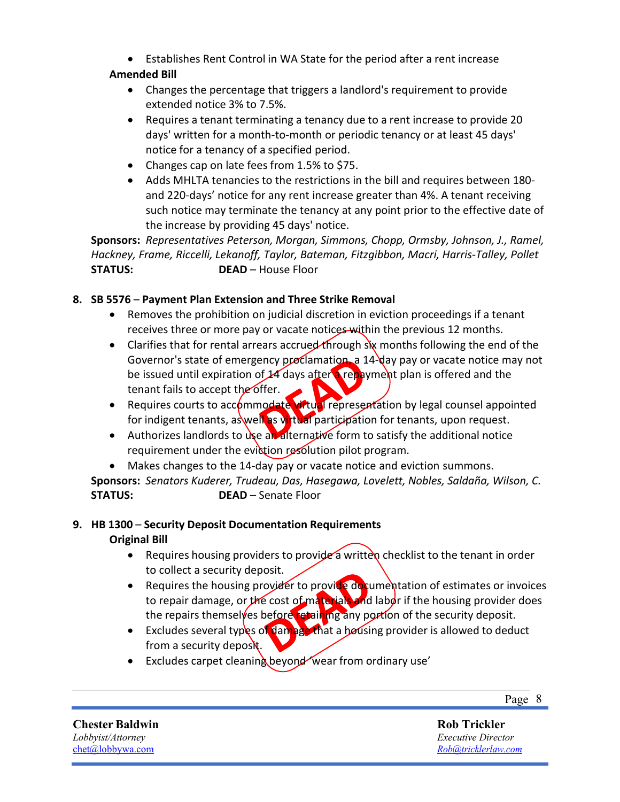• Establishes Rent Control in WA State for the period after a rent increase

#### **Amended Bill**

- Changes the percentage that triggers a landlord's requirement to provide extended notice 3% to 7.5%.
- Requires a tenant terminating a tenancy due to a rent increase to provide 20 days' written for a month-to-month or periodic tenancy or at least 45 days' notice for a tenancy of a specified period.
- Changes cap on late fees from 1.5% to \$75.
- Adds MHLTA tenancies to the restrictions in the bill and requires between 180 and 220-days' notice for any rent increase greater than 4%. A tenant receiving such notice may terminate the tenancy at any point prior to the effective date of the increase by providing 45 days' notice.

**Sponsors:** *Representatives Peterson, Morgan, Simmons, Chopp, Ormsby, Johnson, J., Ramel, Hackney, Frame, Riccelli, Lekanoff, Taylor, Bateman, Fitzgibbon, Macri, Harris-Talley, Pollet* **STATUS: DEAD** – House Floor

#### **8. SB 5576** – **Payment Plan Extension and Three Strike Removal**

- Removes the prohibition on judicial discretion in eviction proceedings if a tenant receives three or more pay or vacate notices within the previous 12 months.
- Clarifies that for rental arrears accrued through six months following the end of the Governor's state of emergency proclamation, a 14-day pay or vacate notice may not be issued until expiration of  $\frac{1}{4}$  days after a repayment plan is offered and the tenant fails to accept the offer.
- Requires courts to accommodate virtual representation by legal counsel appointed for indigent tenants, as well as virtual participation for tenants, upon request.
- Authorizes landlords to use an alternative form to satisfy the additional notice requirement under the eviction resolution pilot program.

• Makes changes to the 14-day pay or vacate notice and eviction summons.

**Sponsors:** *Senators Kuderer, Trudeau, Das, Hasegawa, Lovelett, Nobles, Saldaña, Wilson, C.* **STATUS: DEAD** – Senate Floor

#### **9. HB 1300** – **Security Deposit Documentation Requirements Original Bill**

- Requires housing providers to provide a written checklist to the tenant in order to collect a security deposit.
- Requires the housing provider to provide documentation of estimates or invoices to repair damage, or the cost of materials and labor if the housing provider does the repairs themselves before retaining any portion of the security deposit.
- Excludes several types of damage that a housing provider is allowed to deduct from a security deposit.
- Excludes carpet cleaning beyond wear from ordinary use'

Page 8

**Chester Baldwin** *Lobbyist/Attorney* [chet@lobbywa.com](mailto:chet@lobbywa.com)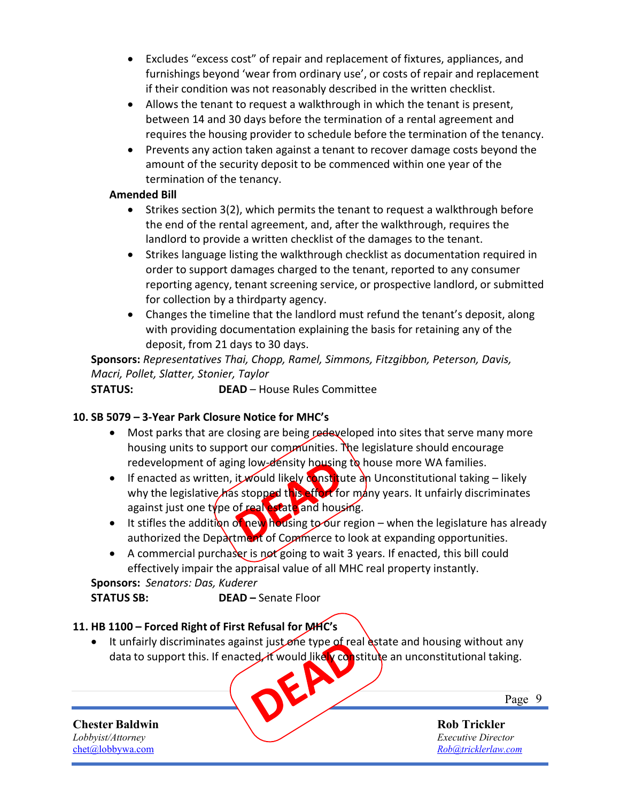- Excludes "excess cost" of repair and replacement of fixtures, appliances, and furnishings beyond 'wear from ordinary use', or costs of repair and replacement if their condition was not reasonably described in the written checklist.
- Allows the tenant to request a walkthrough in which the tenant is present, between 14 and 30 days before the termination of a rental agreement and requires the housing provider to schedule before the termination of the tenancy.
- Prevents any action taken against a tenant to recover damage costs beyond the amount of the security deposit to be commenced within one year of the termination of the tenancy.

#### **Amended Bill**

- Strikes section 3(2), which permits the tenant to request a walkthrough before the end of the rental agreement, and, after the walkthrough, requires the landlord to provide a written checklist of the damages to the tenant.
- Strikes language listing the walkthrough checklist as documentation required in order to support damages charged to the tenant, reported to any consumer reporting agency, tenant screening service, or prospective landlord, or submitted for collection by a thirdparty agency.
- Changes the timeline that the landlord must refund the tenant's deposit, along with providing documentation explaining the basis for retaining any of the deposit, from 21 days to 30 days.

**Sponsors:** *Representatives Thai, Chopp, Ramel, Simmons, Fitzgibbon, Peterson, Davis, Macri, Pollet, Slatter, Stonier, Taylor*

**STATUS: DEAD** – House Rules Committee

#### **10. SB 5079 – 3-Year Park Closure Notice for MHC's**

- Most parks that are closing are being redeveloped into sites that serve many more housing units to support our communities. The legislature should encourage redevelopment of aging low-density housing to house more WA families.
- If enacted as written, it would likely constitute an Unconstitutional taking likely why the legislative has stopped this effort for many years. It unfairly discriminates against just one type of real estate and housing.
- It stifles the addition of new housing to our region when the legislature has already authorized the Department of Commerce to look at expanding opportunities.
- A commercial purchaser is not going to wait 3 years. If enacted, this bill could effectively impair the appraisal value of all MHC real property instantly.

**Sponsors:** *Senators: Das, Kuderer* **STATUS SB: DEAD –** Senate Floor

#### **11. HB 1100 – Forced Right of First Refusal for MHC's**

 $\bullet$  It unfairly discriminates against just one type of real estate and housing without any data to support this. If enacted, it would likely constitute an unconstitutional taking.

**Chester Baldwin**

*Lobbyist/Attorney* [chet@lobbywa.com](mailto:chet@lobbywa.com) Page 9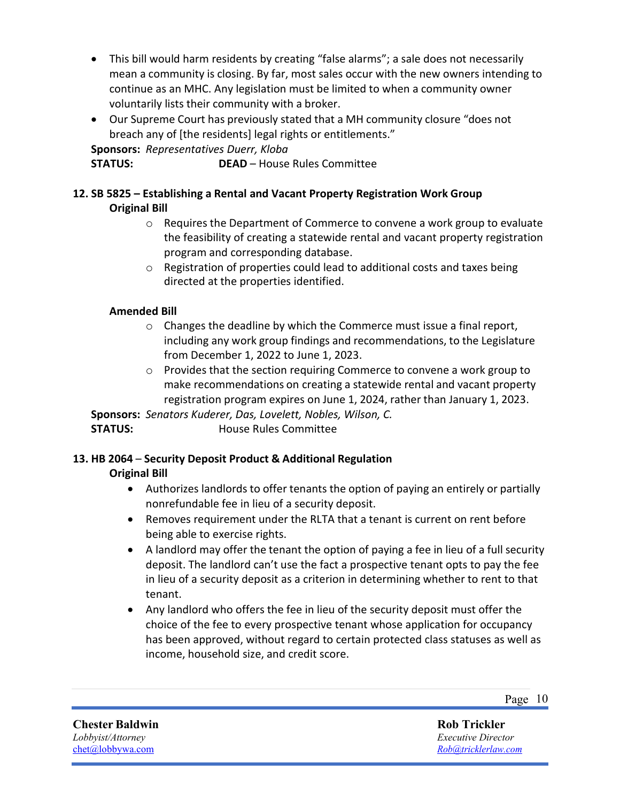- This bill would harm residents by creating "false alarms"; a sale does not necessarily mean a community is closing. By far, most sales occur with the new owners intending to continue as an MHC. Any legislation must be limited to when a community owner voluntarily lists their community with a broker.
- Our Supreme Court has previously stated that a MH community closure "does not breach any of [the residents] legal rights or entitlements."

**Sponsors:** *Representatives Duerr, Kloba*

**STATUS: DEAD** – House Rules Committee

#### **12. SB 5825 – Establishing a Rental and Vacant Property Registration Work Group Original Bill**

- o Requires the Department of Commerce to convene a work group to evaluate the feasibility of creating a statewide rental and vacant property registration program and corresponding database.
- o Registration of properties could lead to additional costs and taxes being directed at the properties identified.

#### **Amended Bill**

- $\circ$  Changes the deadline by which the Commerce must issue a final report, including any work group findings and recommendations, to the Legislature from December 1, 2022 to June 1, 2023.
- $\circ$  Provides that the section requiring Commerce to convene a work group to make recommendations on creating a statewide rental and vacant property registration program expires on June 1, 2024, rather than January 1, 2023.

**Sponsors:** *Senators Kuderer, Das, Lovelett, Nobles, Wilson, C.* **STATUS:** House Rules Committee

### **13. HB 2064** – **Security Deposit Product & Additional Regulation**

#### **Original Bill**

- Authorizes landlords to offer tenants the option of paying an entirely or partially nonrefundable fee in lieu of a security deposit.
- Removes requirement under the RLTA that a tenant is current on rent before being able to exercise rights.
- A landlord may offer the tenant the option of paying a fee in lieu of a full security deposit. The landlord can't use the fact a prospective tenant opts to pay the fee in lieu of a security deposit as a criterion in determining whether to rent to that tenant.
- Any landlord who offers the fee in lieu of the security deposit must offer the choice of the fee to every prospective tenant whose application for occupancy has been approved, without regard to certain protected class statuses as well as income, household size, and credit score.

Page 10

**Chester Baldwin** *Lobbyist/Attorney* [chet@lobbywa.com](mailto:chet@lobbywa.com)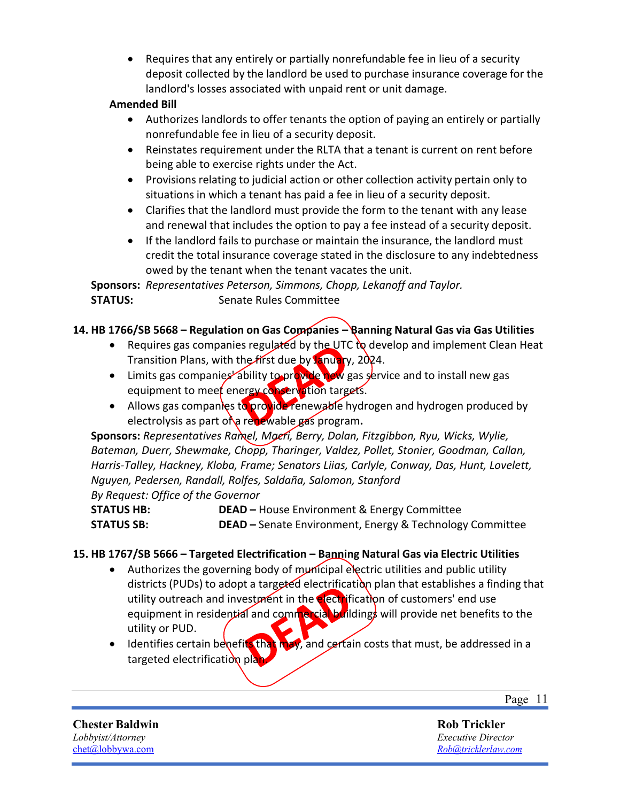• Requires that any entirely or partially nonrefundable fee in lieu of a security deposit collected by the landlord be used to purchase insurance coverage for the landlord's losses associated with unpaid rent or unit damage.

#### **Amended Bill**

- Authorizes landlords to offer tenants the option of paying an entirely or partially nonrefundable fee in lieu of a security deposit.
- Reinstates requirement under the RLTA that a tenant is current on rent before being able to exercise rights under the Act.
- Provisions relating to judicial action or other collection activity pertain only to situations in which a tenant has paid a fee in lieu of a security deposit.
- Clarifies that the landlord must provide the form to the tenant with any lease and renewal that includes the option to pay a fee instead of a security deposit.
- If the landlord fails to purchase or maintain the insurance, the landlord must credit the total insurance coverage stated in the disclosure to any indebtedness owed by the tenant when the tenant vacates the unit.

**Sponsors:** *Representatives Peterson, Simmons, Chopp, Lekanoff and Taylor.* **STATUS:** Senate Rules Committee

#### **14. HB 1766/SB 5668 – Regulation on Gas Companies – Banning Natural Gas via Gas Utilities**

- Requires gas companies regulated by the UTC to develop and implement Clean Heat Transition Plans, with the first due by January, 2024.
- Limits gas companies ability to provide new gas service and to install new gas equipment to meet energy conservation targets.
- Allows gas companies to provide renewable hydrogen and hydrogen produced by electrolysis as part of a renewable gas program**.**

**Sponsors:** *Representatives Ramel, Macri, Berry, Dolan, Fitzgibbon, Ryu, Wicks, Wylie, Bateman, Duerr, Shewmake, Chopp, Tharinger, Valdez, Pollet, Stonier, Goodman, Callan, Harris-Talley, Hackney, Kloba, Frame; Senators Liias, Carlyle, Conway, Das, Hunt, Lovelett, Nguyen, Pedersen, Randall, Rolfes, Saldaña, Salomon, Stanford*

*By Request: Office of the Governor* **STATUS HB: DEAD –** House Environment & Energy Committee **STATUS SB: DEAD –** Senate Environment, Energy & Technology Committee

#### **15. HB 1767/SB 5666 – Targeted Electrification – Banning Natural Gas via Electric Utilities**

- Authorizes the governing body of municipal electric utilities and public utility districts (PUDs) to adopt a targeted electrification plan that establishes a finding that utility outreach and investment in the electrification of customers' end use equipment in residential and commercial buildings will provide net benefits to the utility or PUD.
- Identifies certain benefits that may, and certain costs that must, be addressed in a targeted electrification plan

Page 11

**Chester Baldwin** *Lobbyist/Attorney* [chet@lobbywa.com](mailto:chet@lobbywa.com)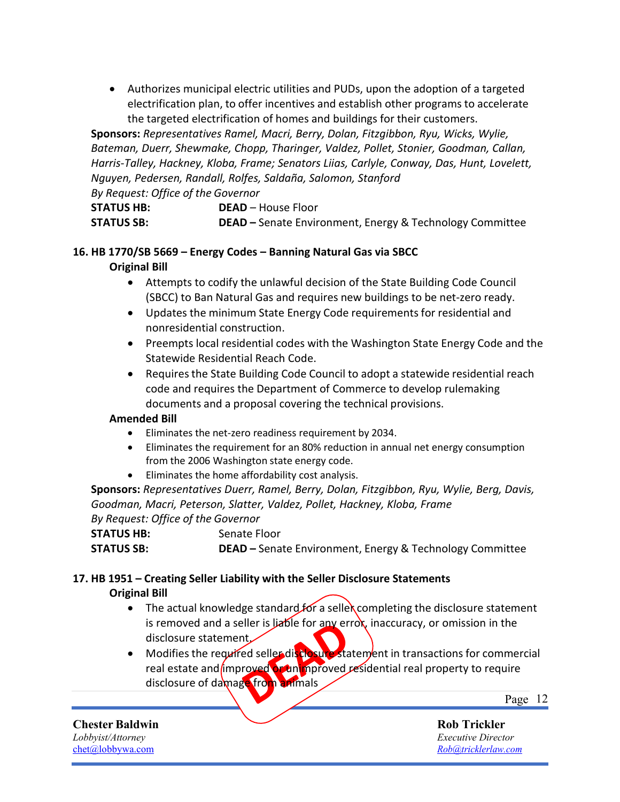• Authorizes municipal electric utilities and PUDs, upon the adoption of a targeted electrification plan, to offer incentives and establish other programs to accelerate the targeted electrification of homes and buildings for their customers.

**Sponsors:** *Representatives Ramel, Macri, Berry, Dolan, Fitzgibbon, Ryu, Wicks, Wylie, Bateman, Duerr, Shewmake, Chopp, Tharinger, Valdez, Pollet, Stonier, Goodman, Callan, Harris-Talley, Hackney, Kloba, Frame; Senators Liias, Carlyle, Conway, Das, Hunt, Lovelett, Nguyen, Pedersen, Randall, Rolfes, Saldaña, Salomon, Stanford*

*By Request: Office of the Governor* **STATUS HB: DEAD** – House Floor

**STATUS SB: DEAD –** Senate Environment, Energy & Technology Committee

### **16. HB 1770/SB 5669 – Energy Codes – Banning Natural Gas via SBCC**

#### **Original Bill**

- Attempts to codify the unlawful decision of the State Building Code Council (SBCC) to Ban Natural Gas and requires new buildings to be net-zero ready.
- Updates the minimum State Energy Code requirements for residential and nonresidential construction.
- Preempts local residential codes with the Washington State Energy Code and the Statewide Residential Reach Code.
- Requires the State Building Code Council to adopt a statewide residential reach code and requires the Department of Commerce to develop rulemaking documents and a proposal covering the technical provisions.

#### **Amended Bill**

- Eliminates the net-zero readiness requirement by 2034.
- Eliminates the requirement for an 80% reduction in annual net energy consumption from the 2006 Washington state energy code.
- Eliminates the home affordability cost analysis.

**Sponsors:** *Representatives Duerr, Ramel, Berry, Dolan, Fitzgibbon, Ryu, Wylie, Berg, Davis, Goodman, Macri, Peterson, Slatter, Valdez, Pollet, Hackney, Kloba, Frame By Request: Office of the Governor*

**STATUS HB:** Senate Floor **STATUS SB: DEAD –** Senate Environment, Energy & Technology Committee

### **17. HB 1951 – Creating Seller Liability with the Seller Disclosure Statements Original Bill**

- The actual knowledge standard for a selle completing the disclosure statement is removed and a seller is liable for any errox, inaccuracy, or omission in the disclosure statement.
- Modifies the required seller disclosure statement in transactions for commercial real estate and improved or unimproved residential real property to require disclosure of damage from animals

Page 12

**Rob Trickler** *Executive Director [Rob@tricklerlaw.com](mailto:Rob@tricklerlaw.com)*

**Chester Baldwin** *Lobbyist/Attorney* [chet@lobbywa.com](mailto:chet@lobbywa.com)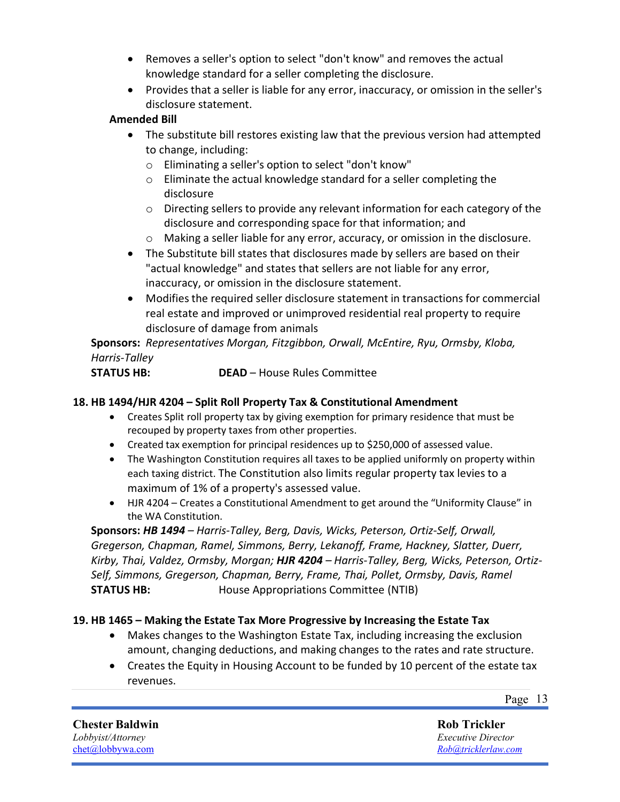- Removes a seller's option to select "don't know" and removes the actual knowledge standard for a seller completing the disclosure.
- Provides that a seller is liable for any error, inaccuracy, or omission in the seller's disclosure statement.

#### **Amended Bill**

- The substitute bill restores existing law that the previous version had attempted to change, including:
	- o Eliminating a seller's option to select "don't know"
	- o Eliminate the actual knowledge standard for a seller completing the disclosure
	- o Directing sellers to provide any relevant information for each category of the disclosure and corresponding space for that information; and
	- o Making a seller liable for any error, accuracy, or omission in the disclosure.
- The Substitute bill states that disclosures made by sellers are based on their "actual knowledge" and states that sellers are not liable for any error, inaccuracy, or omission in the disclosure statement.
- Modifies the required seller disclosure statement in transactions for commercial real estate and improved or unimproved residential real property to require disclosure of damage from animals

**Sponsors:** *Representatives Morgan, Fitzgibbon, Orwall, McEntire, Ryu, Ormsby, Kloba, Harris-Talley*

**STATUS HB: DEAD** – House Rules Committee

#### **18. HB 1494/HJR 4204 – Split Roll Property Tax & Constitutional Amendment**

- Creates Split roll property tax by giving exemption for primary residence that must be recouped by property taxes from other properties.
- Created tax exemption for principal residences up to \$250,000 of assessed value.
- The Washington Constitution requires all taxes to be applied uniformly on property within each taxing district. The Constitution also limits regular property tax levies to a maximum of 1% of a property's assessed value.
- HJR 4204 Creates a Constitutional Amendment to get around the "Uniformity Clause" in the WA Constitution.

**Sponsors:** *HB 1494 – Harris-Talley, Berg, Davis, Wicks, Peterson, Ortiz-Self, Orwall, Gregerson, Chapman, Ramel, Simmons, Berry, Lekanoff, Frame, Hackney, Slatter, Duerr, Kirby, Thai, Valdez, Ormsby, Morgan; HJR 4204 – Harris-Talley, Berg, Wicks, Peterson, Ortiz-Self, Simmons, Gregerson, Chapman, Berry, Frame, Thai, Pollet, Ormsby, Davis, Ramel* **STATUS HB:** House Appropriations Committee (NTIB)

#### **19. HB 1465 – Making the Estate Tax More Progressive by Increasing the Estate Tax**

- Makes changes to the Washington Estate Tax, including increasing the exclusion amount, changing deductions, and making changes to the rates and rate structure.
- Creates the Equity in Housing Account to be funded by 10 percent of the estate tax revenues.